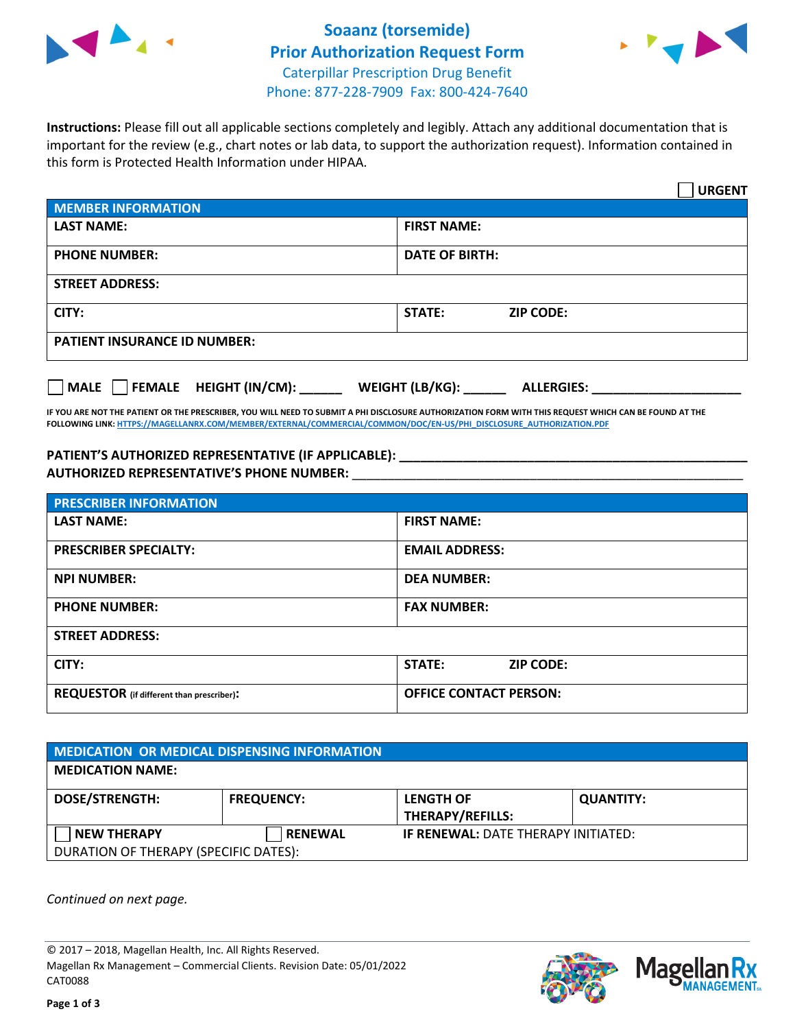

## **Soaanz (torsemide) Prior Authorization Request Form** Caterpillar Prescription Drug Benefit Phone: 877-228-7909 Fax: 800-424-7640



**Instructions:** Please fill out all applicable sections completely and legibly. Attach any additional documentation that is important for the review (e.g., chart notes or lab data, to support the authorization request). Information contained in this form is Protected Health Information under HIPAA.

|                                           | <b>URGENT</b>                          |  |  |  |
|-------------------------------------------|----------------------------------------|--|--|--|
| <b>MEMBER INFORMATION</b>                 |                                        |  |  |  |
| <b>LAST NAME:</b>                         | <b>FIRST NAME:</b>                     |  |  |  |
| <b>PHONE NUMBER:</b>                      | <b>DATE OF BIRTH:</b>                  |  |  |  |
| <b>STREET ADDRESS:</b>                    |                                        |  |  |  |
| CITY:                                     | <b>ZIP CODE:</b><br>STATE:             |  |  |  |
| <b>PATIENT INSURANCE ID NUMBER:</b>       |                                        |  |  |  |
| $\Box$ MALE $\Box$ FEMALE HEIGHT (IN/CM): | WEIGHT (LB/KG): _<br><b>ALLERGIES:</b> |  |  |  |

**IF YOU ARE NOT THE PATIENT OR THE PRESCRIBER, YOU WILL NEED TO SUBMIT A PHI DISCLOSURE AUTHORIZATION FORM WITH THIS REQUEST WHICH CAN BE FOUND AT THE FOLLOWING LINK[: HTTPS://MAGELLANRX.COM/MEMBER/EXTERNAL/COMMERCIAL/COMMON/DOC/EN-US/PHI\\_DISCLOSURE\\_AUTHORIZATION.PDF](https://magellanrx.com/member/external/commercial/common/doc/en-us/PHI_Disclosure_Authorization.pdf)**

## **PATIENT'S AUTHORIZED REPRESENTATIVE (IF APPLICABLE): \_\_\_\_\_\_\_\_\_\_\_\_\_\_\_\_\_\_\_\_\_\_\_\_\_\_\_\_\_\_\_\_\_\_\_\_\_\_\_\_\_\_\_\_\_\_\_\_\_ AUTHORIZED REPRESENTATIVE'S PHONE NUMBER:** \_\_\_\_\_\_\_\_\_\_\_\_\_\_\_\_\_\_\_\_\_\_\_\_\_\_\_\_\_\_\_\_\_\_\_\_\_\_\_\_\_\_\_\_\_\_\_\_\_\_\_\_\_\_\_

| <b>PRESCRIBER INFORMATION</b>             |                               |  |  |  |
|-------------------------------------------|-------------------------------|--|--|--|
| <b>LAST NAME:</b>                         | <b>FIRST NAME:</b>            |  |  |  |
| <b>PRESCRIBER SPECIALTY:</b>              | <b>EMAIL ADDRESS:</b>         |  |  |  |
| <b>NPI NUMBER:</b>                        | <b>DEA NUMBER:</b>            |  |  |  |
| <b>PHONE NUMBER:</b>                      | <b>FAX NUMBER:</b>            |  |  |  |
| <b>STREET ADDRESS:</b>                    |                               |  |  |  |
| CITY:                                     | STATE:<br><b>ZIP CODE:</b>    |  |  |  |
| REQUESTOR (if different than prescriber): | <b>OFFICE CONTACT PERSON:</b> |  |  |  |

| <b>MEDICATION OR MEDICAL DISPENSING INFORMATION</b> |                   |                                            |                  |  |  |
|-----------------------------------------------------|-------------------|--------------------------------------------|------------------|--|--|
| <b>MEDICATION NAME:</b>                             |                   |                                            |                  |  |  |
| <b>DOSE/STRENGTH:</b>                               | <b>FREQUENCY:</b> | <b>LENGTH OF</b>                           | <b>QUANTITY:</b> |  |  |
|                                                     |                   | THERAPY/REFILLS:                           |                  |  |  |
| <b>NEW THERAPY</b>                                  | <b>RENEWAL</b>    | <b>IF RENEWAL: DATE THERAPY INITIATED:</b> |                  |  |  |
| DURATION OF THERAPY (SPECIFIC DATES):               |                   |                                            |                  |  |  |

*Continued on next page.*

© 2017 – 2018, Magellan Health, Inc. All Rights Reserved. Magellan Rx Management – Commercial Clients. Revision Date: 05/01/2022 CAT0088



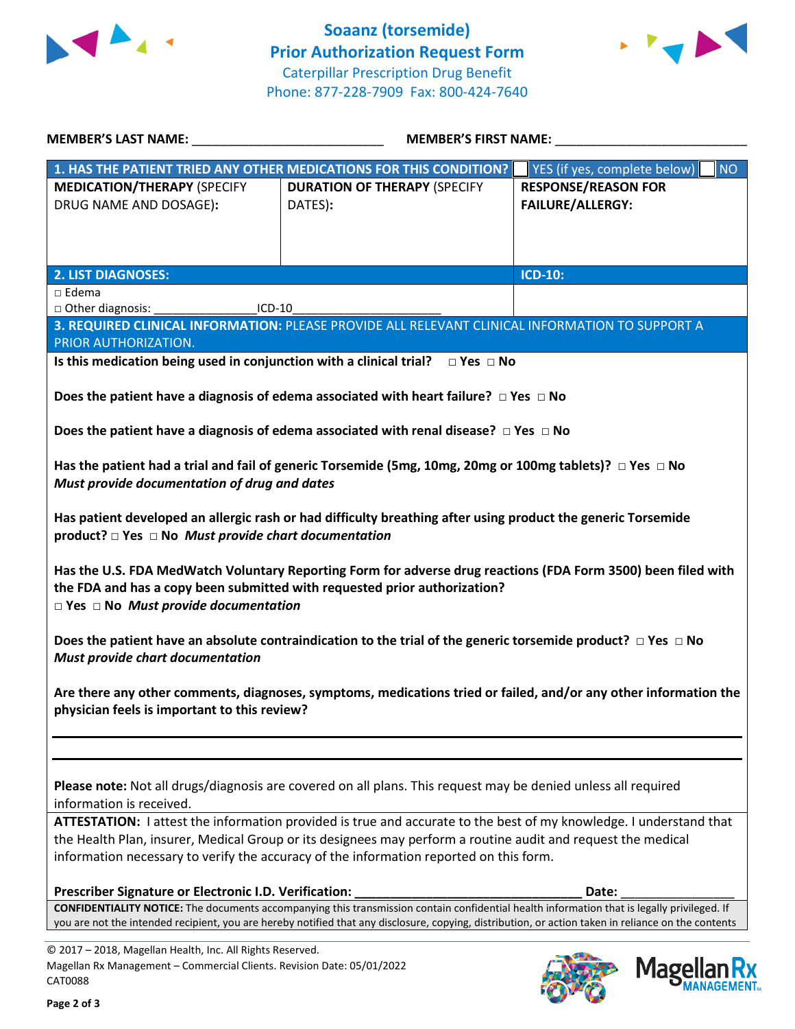



| MEMBER'S LAST NAME: NAME:                                                                                                                             | <b>MEMBER'S FIRST NAME:</b>                                                                                                                                                                                                                                                                               |                                                       |  |
|-------------------------------------------------------------------------------------------------------------------------------------------------------|-----------------------------------------------------------------------------------------------------------------------------------------------------------------------------------------------------------------------------------------------------------------------------------------------------------|-------------------------------------------------------|--|
|                                                                                                                                                       | 1. HAS THE PATIENT TRIED ANY OTHER MEDICATIONS FOR THIS CONDITION?                                                                                                                                                                                                                                        | YES (if yes, complete below)<br><b>NO</b>             |  |
| <b>MEDICATION/THERAPY (SPECIFY</b><br>DRUG NAME AND DOSAGE):                                                                                          | <b>DURATION OF THERAPY (SPECIFY</b><br>DATES):                                                                                                                                                                                                                                                            | <b>RESPONSE/REASON FOR</b><br><b>FAILURE/ALLERGY:</b> |  |
| <b>2. LIST DIAGNOSES:</b>                                                                                                                             |                                                                                                                                                                                                                                                                                                           | <b>ICD-10:</b>                                        |  |
| $\Box$ Edema                                                                                                                                          |                                                                                                                                                                                                                                                                                                           |                                                       |  |
| □ Other diagnosis:<br>$ICD-10$                                                                                                                        |                                                                                                                                                                                                                                                                                                           |                                                       |  |
| PRIOR AUTHORIZATION.                                                                                                                                  | 3. REQUIRED CLINICAL INFORMATION: PLEASE PROVIDE ALL RELEVANT CLINICAL INFORMATION TO SUPPORT A                                                                                                                                                                                                           |                                                       |  |
|                                                                                                                                                       | Is this medication being used in conjunction with a clinical trial? $\Box$ Yes $\Box$ No                                                                                                                                                                                                                  |                                                       |  |
|                                                                                                                                                       |                                                                                                                                                                                                                                                                                                           |                                                       |  |
|                                                                                                                                                       | Does the patient have a diagnosis of edema associated with heart failure? $\Box$ Yes $\Box$ No                                                                                                                                                                                                            |                                                       |  |
|                                                                                                                                                       | Does the patient have a diagnosis of edema associated with renal disease? $\Box$ Yes $\Box$ No                                                                                                                                                                                                            |                                                       |  |
| Must provide documentation of drug and dates                                                                                                          | Has the patient had a trial and fail of generic Torsemide (5mg, 10mg, 20mg or 100mg tablets)? $\Box$ Yes $\Box$ No                                                                                                                                                                                        |                                                       |  |
| product? $\Box$ Yes $\Box$ No Must provide chart documentation                                                                                        | Has patient developed an allergic rash or had difficulty breathing after using product the generic Torsemide                                                                                                                                                                                              |                                                       |  |
| $\square$ Yes $\square$ No Must provide documentation                                                                                                 | Has the U.S. FDA MedWatch Voluntary Reporting Form for adverse drug reactions (FDA Form 3500) been filed with<br>the FDA and has a copy been submitted with requested prior authorization?                                                                                                                |                                                       |  |
| Must provide chart documentation                                                                                                                      | Does the patient have an absolute contraindication to the trial of the generic torsemide product? $\Box$ Yes $\Box$ No                                                                                                                                                                                    |                                                       |  |
| physician feels is important to this review?                                                                                                          | Are there any other comments, diagnoses, symptoms, medications tried or failed, and/or any other information the                                                                                                                                                                                          |                                                       |  |
|                                                                                                                                                       | Please note: Not all drugs/diagnosis are covered on all plans. This request may be denied unless all required                                                                                                                                                                                             |                                                       |  |
| information is received.                                                                                                                              | ATTESTATION: I attest the information provided is true and accurate to the best of my knowledge. I understand that                                                                                                                                                                                        |                                                       |  |
|                                                                                                                                                       | the Health Plan, insurer, Medical Group or its designees may perform a routine audit and request the medical                                                                                                                                                                                              |                                                       |  |
|                                                                                                                                                       | information necessary to verify the accuracy of the information reported on this form.                                                                                                                                                                                                                    |                                                       |  |
|                                                                                                                                                       |                                                                                                                                                                                                                                                                                                           |                                                       |  |
| Prescriber Signature or Electronic I.D. Verification:                                                                                                 | <b>CONFIDENTIALITY NOTICE:</b> The documents accompanying this transmission contain confidential health information that is legally privileged. If<br>you are not the intended recipient, you are hereby notified that any disclosure, copying, distribution, or action taken in reliance on the contents | Date:                                                 |  |
| © 2017 - 2018, Magellan Health, Inc. All Rights Reserved.<br>Magellan Rx Management - Commercial Clients. Revision Date: 05/01/2022<br><b>CAT0088</b> |                                                                                                                                                                                                                                                                                                           | Magel                                                 |  |